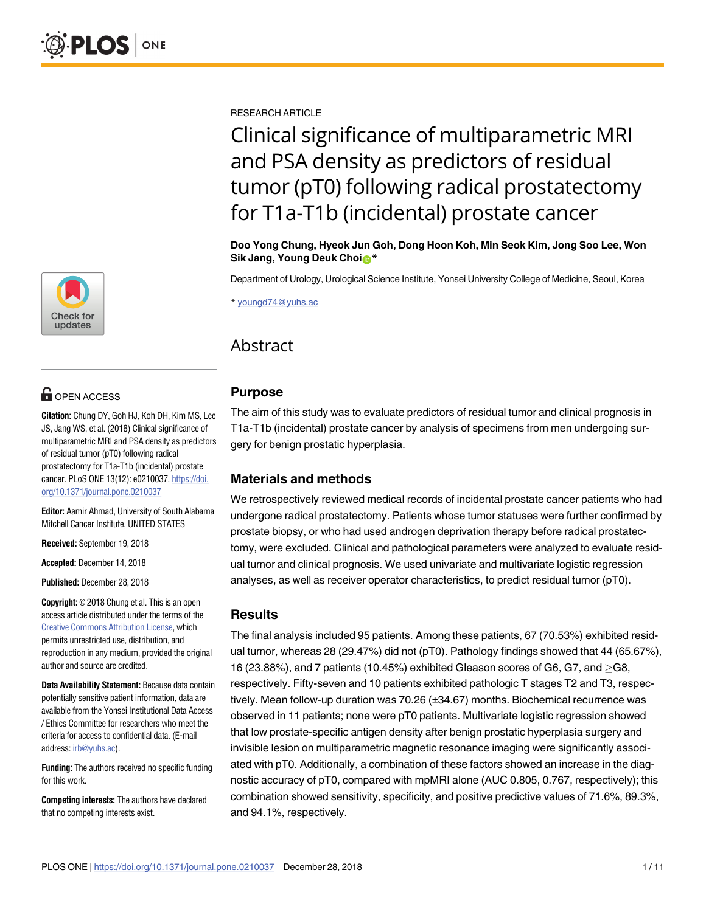

## **OPEN ACCESS**

**Citation:** Chung DY, Goh HJ, Koh DH, Kim MS, Lee JS, Jang WS, et al. (2018) Clinical significance of multiparametric MRI and PSA density as predictors of residual tumor (pT0) following radical prostatectomy for T1a-T1b (incidental) prostate cancer. PLoS ONE 13(12): e0210037. [https://doi.](https://doi.org/10.1371/journal.pone.0210037) [org/10.1371/journal.pone.0210037](https://doi.org/10.1371/journal.pone.0210037)

**Editor:** Aamir Ahmad, University of South Alabama Mitchell Cancer Institute, UNITED STATES

**Received:** September 19, 2018

**Accepted:** December 14, 2018

**Published:** December 28, 2018

**Copyright:** © 2018 Chung et al. This is an open access article distributed under the terms of the Creative Commons [Attribution](http://creativecommons.org/licenses/by/4.0/) License, which permits unrestricted use, distribution, and reproduction in any medium, provided the original author and source are credited.

**Data Availability Statement:** Because data contain potentially sensitive patient information, data are available from the Yonsei Institutional Data Access / Ethics Committee for researchers who meet the criteria for access to confidential data. (E-mail address: [irb@yuhs.ac\)](mailto:irb@yuhs.ac).

**Funding:** The authors received no specific funding for this work.

**Competing interests:** The authors have declared that no competing interests exist.

RESEARCH ARTICLE

# Clinical significance of multiparametric MRI and PSA density as predictors of residual tumor (pT0) following radical prostatectomy for T1a-T1b (incidental) prostate cancer

**Doo Yong Chung, Hyeok Jun Goh, Dong Hoon Koh, Min Seok Kim, Jong Soo Lee, Won**  $Sik$  **Jang, Young Deuk Choin\*** 

Department of Urology, Urological Science Institute, Yonsei University College of Medicine, Seoul, Korea

\* youngd74@yuhs.ac

## Abstract

## **Purpose**

The aim of this study was to evaluate predictors of residual tumor and clinical prognosis in T1a-T1b (incidental) prostate cancer by analysis of specimens from men undergoing surgery for benign prostatic hyperplasia.

## **Materials and methods**

We retrospectively reviewed medical records of incidental prostate cancer patients who had undergone radical prostatectomy. Patients whose tumor statuses were further confirmed by prostate biopsy, or who had used androgen deprivation therapy before radical prostatectomy, were excluded. Clinical and pathological parameters were analyzed to evaluate residual tumor and clinical prognosis. We used univariate and multivariate logistic regression analyses, as well as receiver operator characteristics, to predict residual tumor (pT0).

## **Results**

The final analysis included 95 patients. Among these patients, 67 (70.53%) exhibited residual tumor, whereas 28 (29.47%) did not (pT0). Pathology findings showed that 44 (65.67%), 16 (23.88%), and 7 patients (10.45%) exhibited Gleason scores of G6, G7, and  $>\,$  G8, respectively. Fifty-seven and 10 patients exhibited pathologic T stages T2 and T3, respectively. Mean follow-up duration was 70.26 (±34.67) months. Biochemical recurrence was observed in 11 patients; none were pT0 patients. Multivariate logistic regression showed that low prostate-specific antigen density after benign prostatic hyperplasia surgery and invisible lesion on multiparametric magnetic resonance imaging were significantly associated with pT0. Additionally, a combination of these factors showed an increase in the diagnostic accuracy of pT0, compared with mpMRI alone (AUC 0.805, 0.767, respectively); this combination showed sensitivity, specificity, and positive predictive values of 71.6%, 89.3%, and 94.1%, respectively.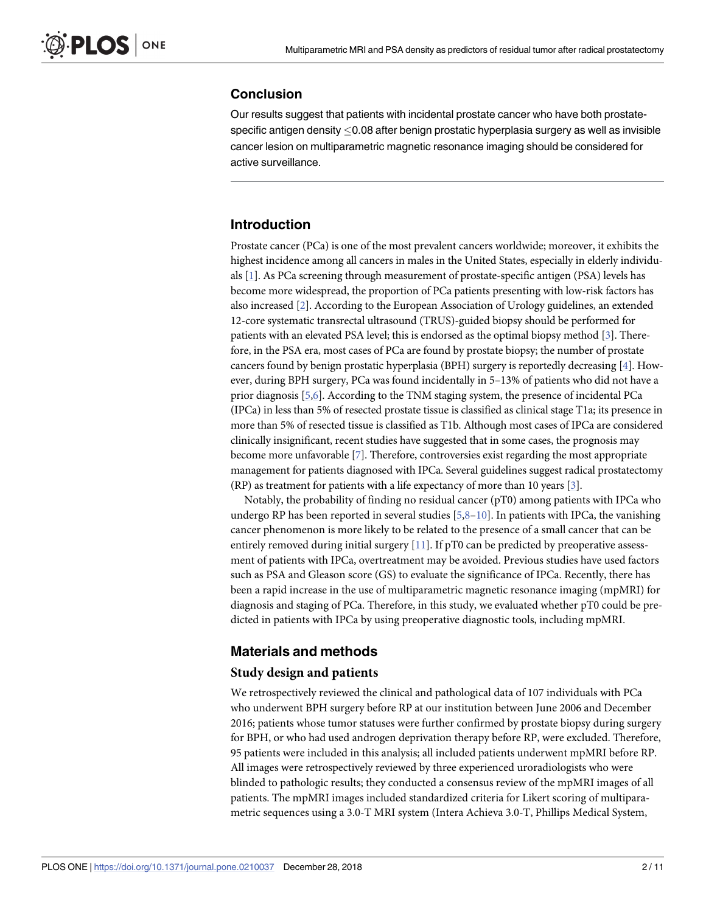## <span id="page-1-0"></span>**Conclusion**

Our results suggest that patients with incidental prostate cancer who have both prostatespecific antigen density  $< 0.08$  after benign prostatic hyperplasia surgery as well as invisible cancer lesion on multiparametric magnetic resonance imaging should be considered for active surveillance.

## **Introduction**

Prostate cancer (PCa) is one of the most prevalent cancers worldwide; moreover, it exhibits the highest incidence among all cancers in males in the United States, especially in elderly individuals [[1](#page-9-0)]. As PCa screening through measurement of prostate-specific antigen (PSA) levels has become more widespread, the proportion of PCa patients presenting with low-risk factors has also increased [\[2\]](#page-9-0). According to the European Association of Urology guidelines, an extended 12-core systematic transrectal ultrasound (TRUS)-guided biopsy should be performed for patients with an elevated PSA level; this is endorsed as the optimal biopsy method [\[3\]](#page-9-0). Therefore, in the PSA era, most cases of PCa are found by prostate biopsy; the number of prostate cancers found by benign prostatic hyperplasia (BPH) surgery is reportedly decreasing [\[4\]](#page-9-0). However, during BPH surgery, PCa was found incidentally in 5–13% of patients who did not have a prior diagnosis [[5](#page-9-0),[6](#page-9-0)]. According to the TNM staging system, the presence of incidental PCa (IPCa) in less than 5% of resected prostate tissue is classified as clinical stage T1a; its presence in more than 5% of resected tissue is classified as T1b. Although most cases of IPCa are considered clinically insignificant, recent studies have suggested that in some cases, the prognosis may become more unfavorable [\[7](#page-9-0)]. Therefore, controversies exist regarding the most appropriate management for patients diagnosed with IPCa. Several guidelines suggest radical prostatectomy (RP) as treatment for patients with a life expectancy of more than 10 years [\[3\]](#page-9-0).

Notably, the probability of finding no residual cancer (pT0) among patients with IPCa who undergo RP has been reported in several studies  $[5,8-10]$ . In patients with IPCa, the vanishing cancer phenomenon is more likely to be related to the presence of a small cancer that can be entirely removed during initial surgery  $[11]$ . If pT0 can be predicted by preoperative assessment of patients with IPCa, overtreatment may be avoided. Previous studies have used factors such as PSA and Gleason score (GS) to evaluate the significance of IPCa. Recently, there has been a rapid increase in the use of multiparametric magnetic resonance imaging (mpMRI) for diagnosis and staging of PCa. Therefore, in this study, we evaluated whether pT0 could be predicted in patients with IPCa by using preoperative diagnostic tools, including mpMRI.

## **Materials and methods**

## **Study design and patients**

We retrospectively reviewed the clinical and pathological data of 107 individuals with PCa who underwent BPH surgery before RP at our institution between June 2006 and December 2016; patients whose tumor statuses were further confirmed by prostate biopsy during surgery for BPH, or who had used androgen deprivation therapy before RP, were excluded. Therefore, 95 patients were included in this analysis; all included patients underwent mpMRI before RP. All images were retrospectively reviewed by three experienced uroradiologists who were blinded to pathologic results; they conducted a consensus review of the mpMRI images of all patients. The mpMRI images included standardized criteria for Likert scoring of multiparametric sequences using a 3.0-T MRI system (Intera Achieva 3.0-T, Phillips Medical System,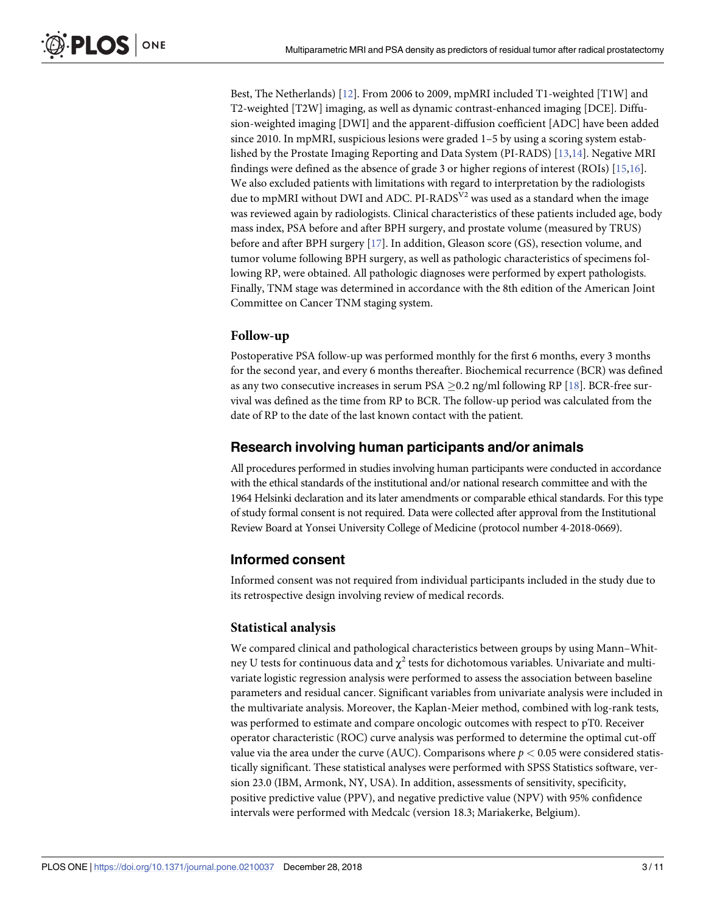<span id="page-2-0"></span>Best, The Netherlands) [[12](#page-10-0)]. From 2006 to 2009, mpMRI included T1-weighted [T1W] and T2-weighted [T2W] imaging, as well as dynamic contrast-enhanced imaging [DCE]. Diffusion-weighted imaging [DWI] and the apparent-diffusion coefficient [ADC] have been added since 2010. In mpMRI, suspicious lesions were graded 1–5 by using a scoring system established by the Prostate Imaging Reporting and Data System (PI-RADS) [\[13,14](#page-10-0)]. Negative MRI findings were defined as the absence of grade 3 or higher regions of interest (ROIs) [\[15,16](#page-10-0)]. We also excluded patients with limitations with regard to interpretation by the radiologists due to mpMRI without DWI and ADC. PI-RADS<sup>V2</sup> was used as a standard when the image was reviewed again by radiologists. Clinical characteristics of these patients included age, body mass index, PSA before and after BPH surgery, and prostate volume (measured by TRUS) before and after BPH surgery [[17](#page-10-0)]. In addition, Gleason score (GS), resection volume, and tumor volume following BPH surgery, as well as pathologic characteristics of specimens following RP, were obtained. All pathologic diagnoses were performed by expert pathologists. Finally, TNM stage was determined in accordance with the 8th edition of the American Joint Committee on Cancer TNM staging system.

#### **Follow-up**

Postoperative PSA follow-up was performed monthly for the first 6 months, every 3 months for the second year, and every 6 months thereafter. Biochemical recurrence (BCR) was defined as any two consecutive increases in serum PSA  $\geq$ 0.2 ng/ml following RP [\[18\]](#page-10-0). BCR-free survival was defined as the time from RP to BCR. The follow-up period was calculated from the date of RP to the date of the last known contact with the patient.

#### **Research involving human participants and/or animals**

All procedures performed in studies involving human participants were conducted in accordance with the ethical standards of the institutional and/or national research committee and with the 1964 Helsinki declaration and its later amendments or comparable ethical standards. For this type of study formal consent is not required. Data were collected after approval from the Institutional Review Board at Yonsei University College of Medicine (protocol number 4-2018-0669).

## **Informed consent**

Informed consent was not required from individual participants included in the study due to its retrospective design involving review of medical records.

#### **Statistical analysis**

We compared clinical and pathological characteristics between groups by using Mann–Whitney U tests for continuous data and  $\chi^2$  tests for dichotomous variables. Univariate and multivariate logistic regression analysis were performed to assess the association between baseline parameters and residual cancer. Significant variables from univariate analysis were included in the multivariate analysis. Moreover, the Kaplan-Meier method, combined with log-rank tests, was performed to estimate and compare oncologic outcomes with respect to pT0. Receiver operator characteristic (ROC) curve analysis was performed to determine the optimal cut-off value via the area under the curve (AUC). Comparisons where  $p < 0.05$  were considered statistically significant. These statistical analyses were performed with SPSS Statistics software, version 23.0 (IBM, Armonk, NY, USA). In addition, assessments of sensitivity, specificity, positive predictive value (PPV), and negative predictive value (NPV) with 95% confidence intervals were performed with Medcalc (version 18.3; Mariakerke, Belgium).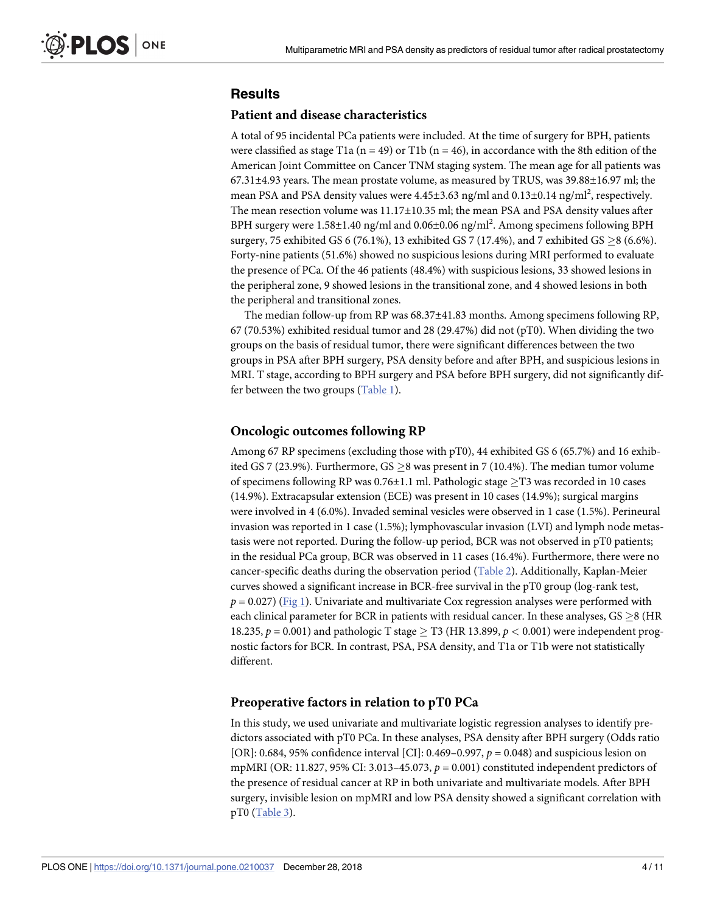## <span id="page-3-0"></span>**Results**

#### **Patient and disease characteristics**

A total of 95 incidental PCa patients were included. At the time of surgery for BPH, patients were classified as stage T1a ( $n = 49$ ) or T1b ( $n = 46$ ), in accordance with the 8th edition of the American Joint Committee on Cancer TNM staging system. The mean age for all patients was 67.31±4.93 years. The mean prostate volume, as measured by TRUS, was 39.88±16.97 ml; the mean PSA and PSA density values were 4.45±3.63 ng/ml and 0.13±0.14 ng/ml<sup>2</sup>, respectively. The mean resection volume was 11.17±10.35 ml; the mean PSA and PSA density values after BPH surgery were 1.58±1.40 ng/ml and 0.06±0.06 ng/ml<sup>2</sup>. Among specimens following BPH surgery, 75 exhibited GS 6 (76.1%), 13 exhibited GS 7 (17.4%), and 7 exhibited GS  $\geq$  8 (6.6%). Forty-nine patients (51.6%) showed no suspicious lesions during MRI performed to evaluate the presence of PCa. Of the 46 patients (48.4%) with suspicious lesions, 33 showed lesions in the peripheral zone, 9 showed lesions in the transitional zone, and 4 showed lesions in both the peripheral and transitional zones.

The median follow-up from RP was 68.37±41.83 months. Among specimens following RP, 67 (70.53%) exhibited residual tumor and 28 (29.47%) did not (pT0). When dividing the two groups on the basis of residual tumor, there were significant differences between the two groups in PSA after BPH surgery, PSA density before and after BPH, and suspicious lesions in MRI. T stage, according to BPH surgery and PSA before BPH surgery, did not significantly differ between the two groups [\(Table](#page-4-0) 1).

## **Oncologic outcomes following RP**

Among 67 RP specimens (excluding those with pT0), 44 exhibited GS 6 (65.7%) and 16 exhibited GS 7 (23.9%). Furthermore, GS  $\geq$ 8 was present in 7 (10.4%). The median tumor volume of specimens following RP was  $0.76\pm1.1$  ml. Pathologic stage  $\geq$ T3 was recorded in 10 cases (14.9%). Extracapsular extension (ECE) was present in 10 cases (14.9%); surgical margins were involved in 4 (6.0%). Invaded seminal vesicles were observed in 1 case (1.5%). Perineural invasion was reported in 1 case (1.5%); lymphovascular invasion (LVI) and lymph node metastasis were not reported. During the follow-up period, BCR was not observed in pT0 patients; in the residual PCa group, BCR was observed in 11 cases (16.4%). Furthermore, there were no cancer-specific deaths during the observation period [\(Table](#page-5-0) 2). Additionally, Kaplan-Meier curves showed a significant increase in BCR-free survival in the pT0 group (log-rank test,  $p = 0.027$ ) [\(Fig](#page-6-0) 1). Univariate and multivariate Cox regression analyses were performed with each clinical parameter for BCR in patients with residual cancer. In these analyses,  $GS > 8$  (HR 18.235,  $p = 0.001$ ) and pathologic T stage  $\geq$  T3 (HR 13.899,  $p < 0.001$ ) were independent prognostic factors for BCR. In contrast, PSA, PSA density, and T1a or T1b were not statistically different.

## **Preoperative factors in relation to pT0 PCa**

In this study, we used univariate and multivariate logistic regression analyses to identify predictors associated with pT0 PCa. In these analyses, PSA density after BPH surgery (Odds ratio [OR]: 0.684, 95% confidence interval [CI]: 0.469–0.997, *p* = 0.048) and suspicious lesion on mpMRI (OR: 11.827, 95% CI: 3.013–45.073, *p* = 0.001) constituted independent predictors of the presence of residual cancer at RP in both univariate and multivariate models. After BPH surgery, invisible lesion on mpMRI and low PSA density showed a significant correlation with pT0 ([Table](#page-7-0) 3).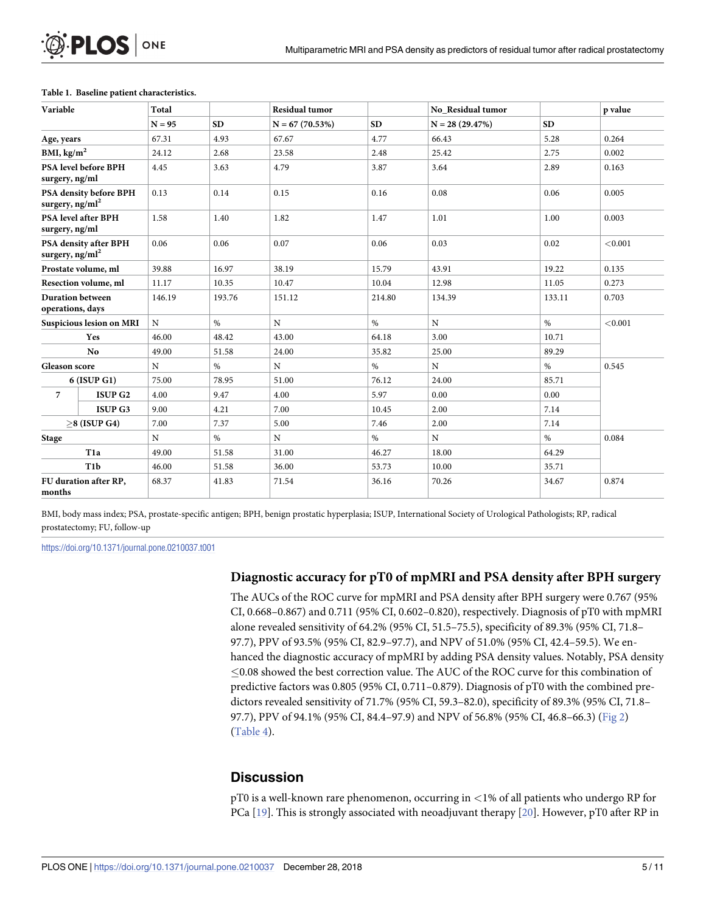| Variable                                     |                             | Total       |        | <b>Residual tumor</b> |        | No Residual tumor |           | p value |
|----------------------------------------------|-----------------------------|-------------|--------|-----------------------|--------|-------------------|-----------|---------|
|                                              |                             | $N = 95$    | SD     | $N = 67(70.53%)$      | SD     | $N = 28(29.47%)$  | <b>SD</b> |         |
| Age, years                                   |                             | 67.31       | 4.93   | 67.67                 | 4.77   | 66.43             | 5.28      | 0.264   |
| BMI, $\text{kg/m}^2$                         |                             | 24.12       | 2.68   | 23.58                 | 2.48   | 25.42             | 2.75      | 0.002   |
| surgery, ng/ml                               | <b>PSA level before BPH</b> | 4.45        | 3.63   | 4.79                  | 3.87   | 3.64              | 2.89      | 0.163   |
| PSA density before BPH<br>surgery, $ng/ml^2$ |                             | 0.13        | 0.14   | 0.15                  | 0.16   | 0.08              | 0.06      | 0.005   |
| <b>PSA</b> level after BPH<br>surgery, ng/ml |                             | 1.58        | 1.40   | 1.82                  | 1.47   | 1.01              | 1.00      | 0.003   |
| PSA density after BPH<br>surgery, $ng/ml^2$  |                             | 0.06        | 0.06   | 0.07                  | 0.06   | 0.03              | 0.02      | < 0.001 |
| Prostate volume, ml                          |                             | 39.88       | 16.97  | 38.19                 | 15.79  | 43.91             | 19.22     | 0.135   |
| Resection volume, ml                         |                             | 11.17       | 10.35  | 10.47                 | 10.04  | 12.98             | 11.05     | 0.273   |
| <b>Duration between</b><br>operations, days  |                             | 146.19      | 193.76 | 151.12                | 214.80 | 134.39            | 133.11    | 0.703   |
| Suspicious lesion on MRI                     |                             | N           | $\%$   | $\mathbf N$           | $\%$   | N                 | $\%$      | < 0.001 |
| <b>Yes</b>                                   |                             | 46.00       | 48.42  | 43.00                 | 64.18  | 3.00              | 10.71     |         |
| N <sub>0</sub>                               |                             | 49.00       | 51.58  | 24.00                 | 35.82  | 25.00             | 89.29     |         |
| Gleason score                                |                             | $\mathbf N$ | $\%$   | $\mathbf N$           | $\%$   | N                 | $\%$      | 0.545   |
| $6$ (ISUP G1)                                |                             | 75.00       | 78.95  | 51.00                 | 76.12  | 24.00             | 85.71     |         |
| 7                                            | ISUP <sub>G2</sub>          | 4.00        | 9.47   | 4.00                  | 5.97   | 0.00              | 0.00      |         |
|                                              | <b>ISUP G3</b>              | 9.00        | 4.21   | 7.00                  | 10.45  | 2.00              | 7.14      |         |
| $>8$ (ISUP G4)                               |                             | 7.00        | 7.37   | 5.00                  | 7.46   | 2.00              | 7.14      |         |
| <b>Stage</b>                                 |                             | N           | $\%$   | $\mathbf N$           | $\%$   | N                 | $\%$      | 0.084   |
| T <sub>1</sub> a                             |                             | 49.00       | 51.58  | 31.00                 | 46.27  | 18.00             | 64.29     |         |
| T <sub>1</sub> b                             |                             | 46.00       | 51.58  | 36.00                 | 53.73  | 10.00             | 35.71     |         |
| FU duration after RP,<br>months              |                             | 68.37       | 41.83  | 71.54                 | 36.16  | 70.26             | 34.67     | 0.874   |

#### <span id="page-4-0"></span>**[Table](#page-3-0) 1. Baseline patient characteristics.**

BMI, body mass index; PSA, prostate-specific antigen; BPH, benign prostatic hyperplasia; ISUP, International Society of Urological Pathologists; RP, radical prostatectomy; FU, follow-up

<https://doi.org/10.1371/journal.pone.0210037.t001>

#### **Diagnostic accuracy for pT0 of mpMRI and PSA density after BPH surgery**

The AUCs of the ROC curve for mpMRI and PSA density after BPH surgery were 0.767 (95% CI, 0.668–0.867) and 0.711 (95% CI, 0.602–0.820), respectively. Diagnosis of pT0 with mpMRI alone revealed sensitivity of 64.2% (95% CI, 51.5–75.5), specificity of 89.3% (95% CI, 71.8– 97.7), PPV of 93.5% (95% CI, 82.9–97.7), and NPV of 51.0% (95% CI, 42.4–59.5). We enhanced the diagnostic accuracy of mpMRI by adding PSA density values. Notably, PSA density  $\leq$ 0.08 showed the best correction value. The AUC of the ROC curve for this combination of predictive factors was 0.805 (95% CI, 0.711–0.879). Diagnosis of pT0 with the combined predictors revealed sensitivity of 71.7% (95% CI, 59.3–82.0), specificity of 89.3% (95% CI, 71.8– 97.7), PPV of 94.1% (95% CI, 84.4–97.9) and NPV of 56.8% (95% CI, 46.8–66.3) [\(Fig](#page-8-0) 2) [\(Table](#page-8-0) 4).

## **Discussion**

pT0 is a well-known rare phenomenon, occurring in *<*1% of all patients who undergo RP for PCa  $[19]$ . This is strongly associated with neoadjuvant therapy  $[20]$  $[20]$  $[20]$ . However, pT0 after RP in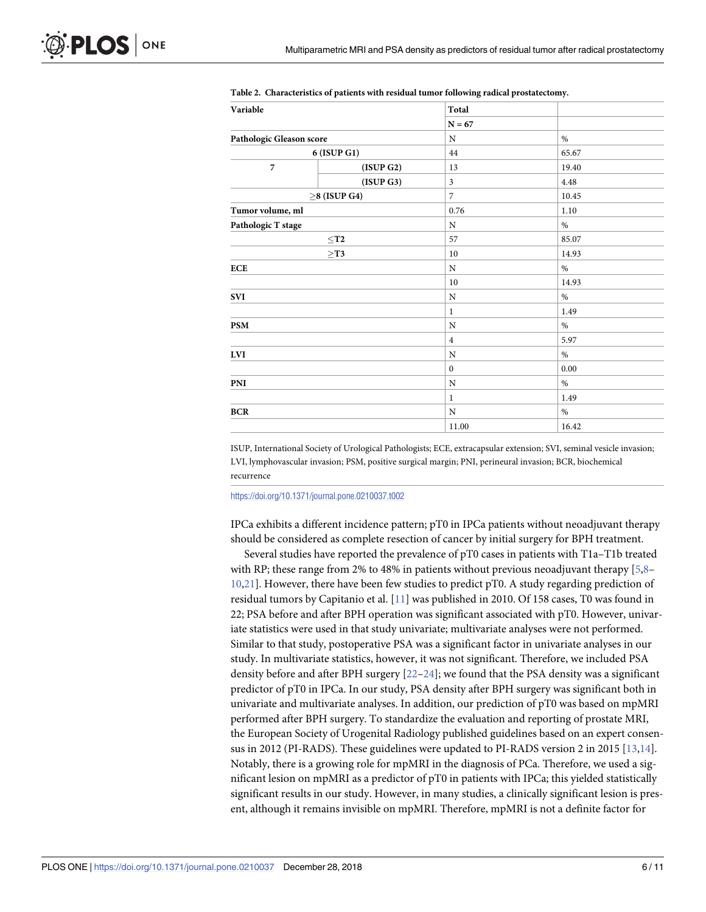| Variable                                       |                    | Total            |       |
|------------------------------------------------|--------------------|------------------|-------|
|                                                |                    | $N = 67$         |       |
| Pathologic Gleason score<br>$6$ (ISUP G1) $\,$ |                    | $\rm N$          | $\%$  |
|                                                |                    | 44               | 65.67 |
| $\overline{7}$                                 | (ISUP G2)          | 13               | 19.40 |
|                                                | (ISUP G3)          | $\mathfrak{Z}$   | 4.48  |
|                                                | $\geq$ 8 (ISUP G4) | $\overline{7}$   | 10.45 |
| Tumor volume, ml                               |                    | 0.76             | 1.10  |
| Pathologic T stage                             |                    | $\mathbf N$      | $\%$  |
|                                                | $<$ T2             | 57               | 85.07 |
|                                                | $\geq$ T3          | 10               | 14.93 |
| <b>ECE</b>                                     |                    | $\rm N$          | $\%$  |
|                                                |                    | 10               | 14.93 |
| <b>SVI</b>                                     |                    | $\mathbf N$      | $\%$  |
|                                                |                    | $\mathbf{1}$     | 1.49  |
| <b>PSM</b>                                     |                    | N                | $\%$  |
|                                                |                    | $\overline{4}$   | 5.97  |
| <b>LVI</b>                                     |                    | N                | $\%$  |
|                                                |                    | $\boldsymbol{0}$ | 0.00  |
| PNI                                            |                    | N                | $\%$  |
|                                                |                    | $\mathbf{1}$     | 1.49  |
| <b>BCR</b>                                     |                    | $\mathbf N$      | $\%$  |
|                                                |                    | 11.00            | 16.42 |

<span id="page-5-0"></span>

| Table 2. Characteristics of patients with residual tumor following radical prostatectomy. |  |  |  |  |
|-------------------------------------------------------------------------------------------|--|--|--|--|
|                                                                                           |  |  |  |  |

ISUP, International Society of Urological Pathologists; ECE, extracapsular extension; SVI, seminal vesicle invasion; LVI, lymphovascular invasion; PSM, positive surgical margin; PNI, perineural invasion; BCR, biochemical recurrence

<https://doi.org/10.1371/journal.pone.0210037.t002>

IPCa exhibits a different incidence pattern; pT0 in IPCa patients without neoadjuvant therapy should be considered as complete resection of cancer by initial surgery for BPH treatment.

Several studies have reported the prevalence of pT0 cases in patients with T1a–T1b treated with RP; these range from 2% to 48% in patients without previous neoadjuvant therapy  $[5,8-$ [10,](#page-9-0)[21](#page-10-0)]. However, there have been few studies to predict pT0. A study regarding prediction of residual tumors by Capitanio et al. [\[11\]](#page-9-0) was published in 2010. Of 158 cases, T0 was found in 22; PSA before and after BPH operation was significant associated with pT0. However, univariate statistics were used in that study univariate; multivariate analyses were not performed. Similar to that study, postoperative PSA was a significant factor in univariate analyses in our study. In multivariate statistics, however, it was not significant. Therefore, we included PSA density before and after BPH surgery [[22–24\]](#page-10-0); we found that the PSA density was a significant predictor of pT0 in IPCa. In our study, PSA density after BPH surgery was significant both in univariate and multivariate analyses. In addition, our prediction of pT0 was based on mpMRI performed after BPH surgery. To standardize the evaluation and reporting of prostate MRI, the European Society of Urogenital Radiology published guidelines based on an expert consensus in 2012 (PI-RADS). These guidelines were updated to PI-RADS version 2 in 2015 [\[13,14](#page-10-0)]. Notably, there is a growing role for mpMRI in the diagnosis of PCa. Therefore, we used a significant lesion on mpMRI as a predictor of pT0 in patients with IPCa; this yielded statistically significant results in our study. However, in many studies, a clinically significant lesion is present, although it remains invisible on mpMRI. Therefore, mpMRI is not a definite factor for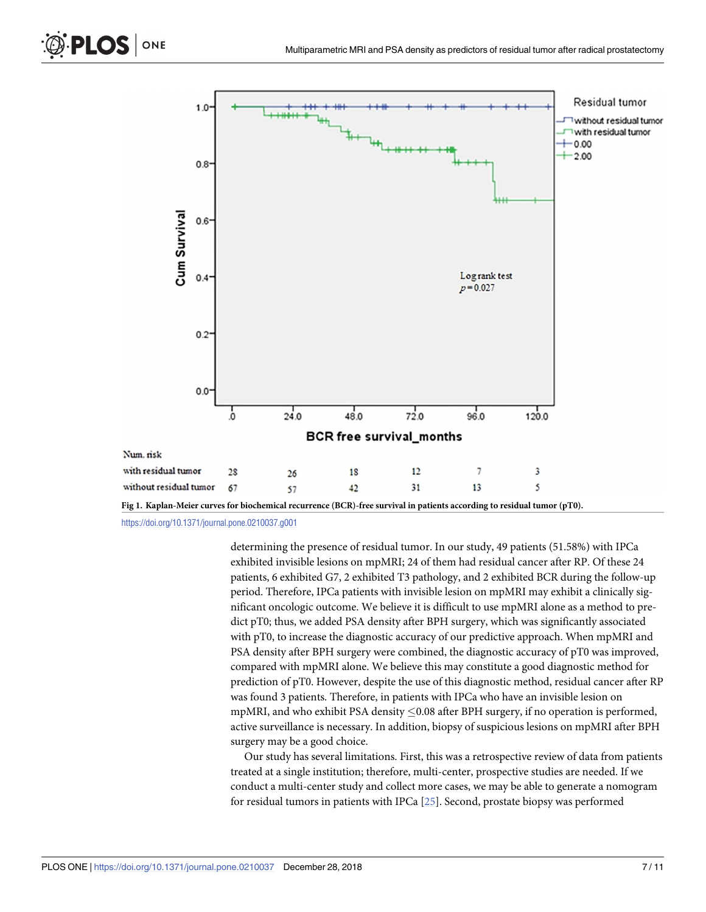<span id="page-6-0"></span>

[Fig](#page-3-0) 1. Kaplan-Meier curves for biochemical recurrence (BCR)-free survival in patients according to residual tumor (pT0).

<https://doi.org/10.1371/journal.pone.0210037.g001>

determining the presence of residual tumor. In our study, 49 patients (51.58%) with IPCa exhibited invisible lesions on mpMRI; 24 of them had residual cancer after RP. Of these 24 patients, 6 exhibited G7, 2 exhibited T3 pathology, and 2 exhibited BCR during the follow-up period. Therefore, IPCa patients with invisible lesion on mpMRI may exhibit a clinically significant oncologic outcome. We believe it is difficult to use mpMRI alone as a method to predict pT0; thus, we added PSA density after BPH surgery, which was significantly associated with pT0, to increase the diagnostic accuracy of our predictive approach. When mpMRI and PSA density after BPH surgery were combined, the diagnostic accuracy of pT0 was improved, compared with mpMRI alone. We believe this may constitute a good diagnostic method for prediction of pT0. However, despite the use of this diagnostic method, residual cancer after RP was found 3 patients. Therefore, in patients with IPCa who have an invisible lesion on mpMRI, and who exhibit PSA density  $\leq$  0.08 after BPH surgery, if no operation is performed, active surveillance is necessary. In addition, biopsy of suspicious lesions on mpMRI after BPH surgery may be a good choice.

Our study has several limitations. First, this was a retrospective review of data from patients treated at a single institution; therefore, multi-center, prospective studies are needed. If we conduct a multi-center study and collect more cases, we may be able to generate a nomogram for residual tumors in patients with IPCa [\[25\]](#page-10-0). Second, prostate biopsy was performed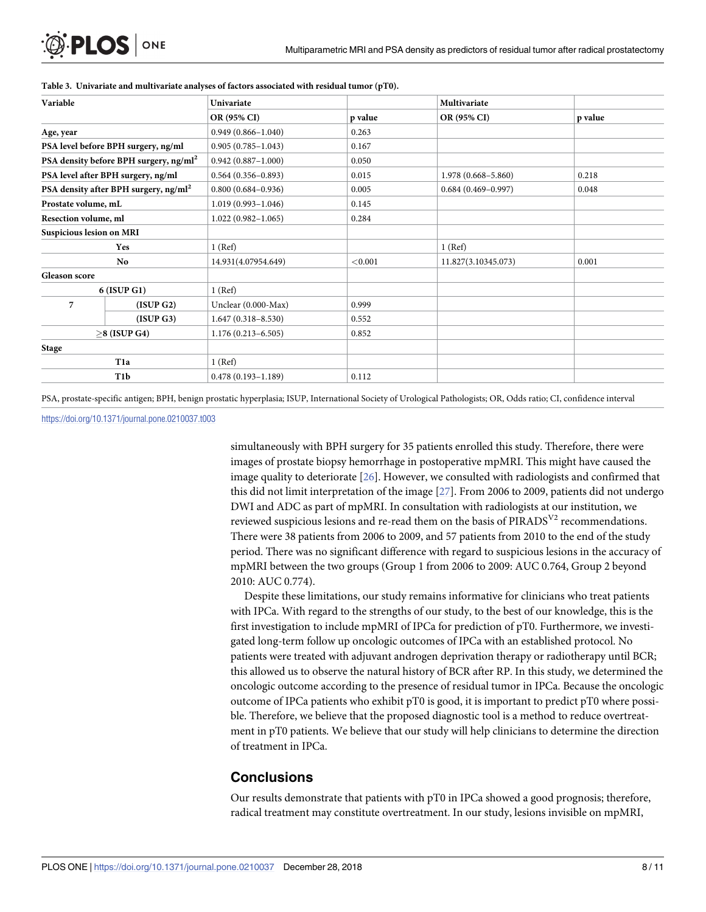| Variable                                          |                                                    | Univariate             |         | Multivariate           |         |
|---------------------------------------------------|----------------------------------------------------|------------------------|---------|------------------------|---------|
|                                                   |                                                    | OR (95% CI)            | p value | OR (95% CI)            | p value |
| Age, year                                         |                                                    | $0.949(0.866 - 1.040)$ | 0.263   |                        |         |
|                                                   | PSA level before BPH surgery, ng/ml                | $0.905(0.785 - 1.043)$ | 0.167   |                        |         |
|                                                   | PSA density before BPH surgery, ng/ml <sup>2</sup> | $0.942(0.887 - 1.000)$ | 0.050   |                        |         |
|                                                   | PSA level after BPH surgery, ng/ml                 | $0.564(0.356 - 0.893)$ | 0.015   | $1.978(0.668 - 5.860)$ | 0.218   |
| PSA density after BPH surgery, ng/ml <sup>2</sup> |                                                    | $0.800(0.684 - 0.936)$ | 0.005   | $0.684(0.469 - 0.997)$ | 0.048   |
| Prostate volume, mL                               |                                                    | $1.019(0.993 - 1.046)$ | 0.145   |                        |         |
| Resection volume, ml                              |                                                    | $1.022(0.982 - 1.065)$ | 0.284   |                        |         |
| Suspicious lesion on MRI                          |                                                    |                        |         |                        |         |
|                                                   | Yes                                                | $1$ (Ref)              |         | 1 (Ref)                |         |
| No                                                |                                                    | 14.931(4.07954.649)    | < 0.001 | 11.827(3.10345.073)    | 0.001   |
| <b>Gleason</b> score                              |                                                    |                        |         |                        |         |
|                                                   | $6$ (ISUP G1)                                      | $1$ (Ref)              |         |                        |         |
| 7                                                 | (ISUP G2)                                          | Unclear (0.000-Max)    | 0.999   |                        |         |
|                                                   | (ISUP G3)                                          | $1.647(0.318 - 8.530)$ | 0.552   |                        |         |
| $>8$ (ISUP G4)                                    |                                                    | $1.176(0.213 - 6.505)$ | 0.852   |                        |         |
| Stage                                             |                                                    |                        |         |                        |         |
|                                                   | T <sub>1</sub> a                                   | $1$ (Ref)              |         |                        |         |
| T1b                                               |                                                    | $0.478(0.193 - 1.189)$ | 0.112   |                        |         |

<span id="page-7-0"></span>**[Table](#page-3-0) 3. Univariate and multivariate analyses of factors associated with residual tumor (pT0).**

PSA, prostate-specific antigen; BPH, benign prostatic hyperplasia; ISUP, International Society of Urological Pathologists; OR, Odds ratio; CI, confidence interval

<https://doi.org/10.1371/journal.pone.0210037.t003>

simultaneously with BPH surgery for 35 patients enrolled this study. Therefore, there were images of prostate biopsy hemorrhage in postoperative mpMRI. This might have caused the image quality to deteriorate [\[26\]](#page-10-0). However, we consulted with radiologists and confirmed that this did not limit interpretation of the image [\[27\]](#page-10-0). From 2006 to 2009, patients did not undergo DWI and ADC as part of mpMRI. In consultation with radiologists at our institution, we reviewed suspicious lesions and re-read them on the basis of  $PIRADS<sup>V2</sup>$  recommendations. There were 38 patients from 2006 to 2009, and 57 patients from 2010 to the end of the study period. There was no significant difference with regard to suspicious lesions in the accuracy of mpMRI between the two groups (Group 1 from 2006 to 2009: AUC 0.764, Group 2 beyond 2010: AUC 0.774).

Despite these limitations, our study remains informative for clinicians who treat patients with IPCa. With regard to the strengths of our study, to the best of our knowledge, this is the first investigation to include mpMRI of IPCa for prediction of pT0. Furthermore, we investigated long-term follow up oncologic outcomes of IPCa with an established protocol. No patients were treated with adjuvant androgen deprivation therapy or radiotherapy until BCR; this allowed us to observe the natural history of BCR after RP. In this study, we determined the oncologic outcome according to the presence of residual tumor in IPCa. Because the oncologic outcome of IPCa patients who exhibit pT0 is good, it is important to predict pT0 where possible. Therefore, we believe that the proposed diagnostic tool is a method to reduce overtreatment in pT0 patients. We believe that our study will help clinicians to determine the direction of treatment in IPCa.

## **Conclusions**

Our results demonstrate that patients with pT0 in IPCa showed a good prognosis; therefore, radical treatment may constitute overtreatment. In our study, lesions invisible on mpMRI,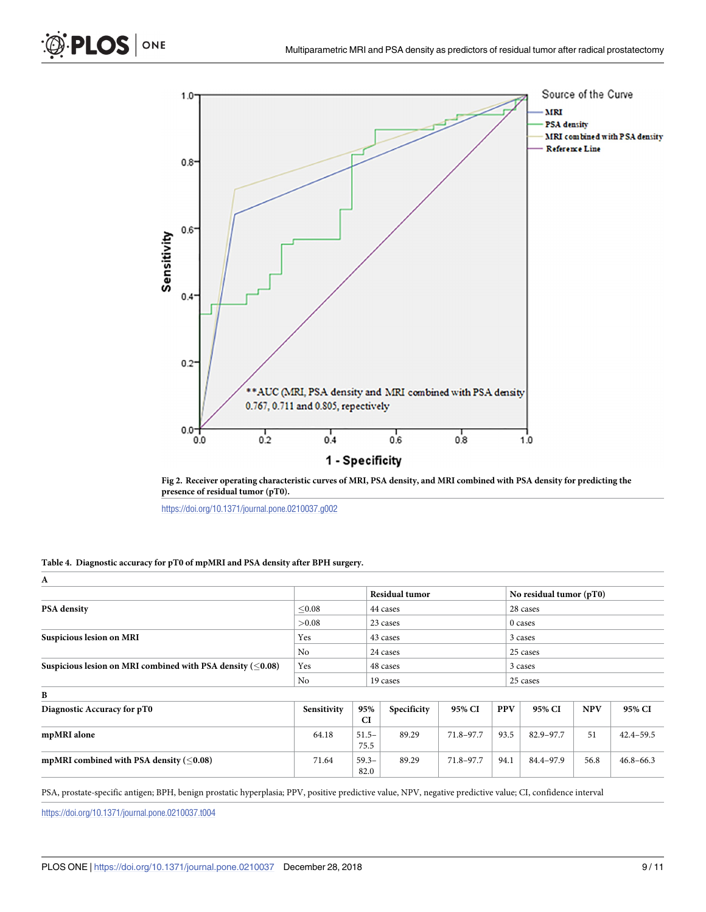<span id="page-8-0"></span>

[Fig](#page-4-0) 2. Receiver operating characteristic curves of MRI, PSA density, and MRI combined with PSA density for predicting the **presence of residual tumor (pT0).**

<https://doi.org/10.1371/journal.pone.0210037.g002>

#### **[Table](#page-4-0) 4. Diagnostic accuracy for pT0 of mpMRI and PSA density after BPH surgery.**

| A                                                            |             |                  |                       |           |            |                         |            |               |  |
|--------------------------------------------------------------|-------------|------------------|-----------------------|-----------|------------|-------------------------|------------|---------------|--|
|                                                              |             |                  | <b>Residual tumor</b> |           |            | No residual tumor (pT0) |            |               |  |
| <b>PSA</b> density                                           | < 0.08      |                  | 44 cases              |           |            | 28 cases                |            |               |  |
|                                                              | >0.08       |                  | 23 cases              |           |            | 0 cases                 |            |               |  |
| <b>Suspicious lesion on MRI</b>                              | Yes         |                  | 43 cases              |           |            | 3 cases                 |            |               |  |
|                                                              | No          |                  | 24 cases              |           |            | 25 cases                |            |               |  |
| Suspicious lesion on MRI combined with PSA density $(<0.08)$ | Yes         |                  | 48 cases              |           |            | 3 cases                 |            |               |  |
|                                                              | No          |                  | 19 cases              |           |            | 25 cases                |            |               |  |
| B                                                            |             |                  |                       |           |            |                         |            |               |  |
| Diagnostic Accuracy for pT0                                  | Sensitivity | 95%<br><b>CI</b> | Specificity           | 95% CI    | <b>PPV</b> | 95% CI                  | <b>NPV</b> | 95% CI        |  |
| mpMRI alone                                                  | 64.18       | $51.5 -$<br>75.5 | 89.29                 | 71.8-97.7 | 93.5       | 82.9-97.7               | 51         | $42.4 - 59.5$ |  |
| mpMRI combined with PSA density $(<0.08)$                    | 71.64       | $59.3 -$<br>82.0 | 89.29                 | 71.8-97.7 | 94.1       | 84.4-97.9               | 56.8       | $46.8 - 66.3$ |  |
|                                                              |             |                  |                       |           |            |                         |            |               |  |

PSA, prostate-specific antigen; BPH, benign prostatic hyperplasia; PPV, positive predictive value, NPV, negative predictive value; CI, confidence interval

<https://doi.org/10.1371/journal.pone.0210037.t004>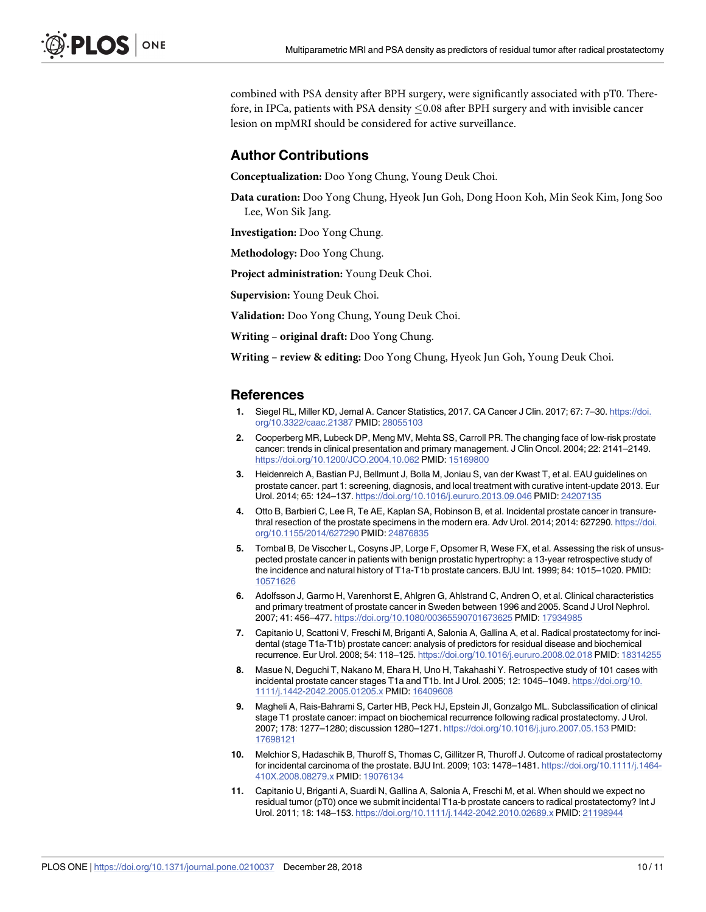<span id="page-9-0"></span>combined with PSA density after BPH surgery, were significantly associated with pT0. Therefore, in IPCa, patients with PSA density  $\leq$  0.08 after BPH surgery and with invisible cancer lesion on mpMRI should be considered for active surveillance.

### **Author Contributions**

**Conceptualization:** Doo Yong Chung, Young Deuk Choi.

**Data curation:** Doo Yong Chung, Hyeok Jun Goh, Dong Hoon Koh, Min Seok Kim, Jong Soo Lee, Won Sik Jang.

**Investigation:** Doo Yong Chung.

**Methodology:** Doo Yong Chung.

**Project administration:** Young Deuk Choi.

**Supervision:** Young Deuk Choi.

**Validation:** Doo Yong Chung, Young Deuk Choi.

**Writing – original draft:** Doo Yong Chung.

**Writing – review & editing:** Doo Yong Chung, Hyeok Jun Goh, Young Deuk Choi.

#### **References**

- **[1](#page-1-0).** Siegel RL, Miller KD, Jemal A. Cancer Statistics, 2017. CA Cancer J Clin. 2017; 67: 7–30. [https://doi.](https://doi.org/10.3322/caac.21387) [org/10.3322/caac.21387](https://doi.org/10.3322/caac.21387) PMID: [28055103](http://www.ncbi.nlm.nih.gov/pubmed/28055103)
- **[2](#page-1-0).** Cooperberg MR, Lubeck DP, Meng MV, Mehta SS, Carroll PR. The changing face of low-risk prostate cancer: trends in clinical presentation and primary management. J Clin Oncol. 2004; 22: 2141–2149. <https://doi.org/10.1200/JCO.2004.10.062> PMID: [15169800](http://www.ncbi.nlm.nih.gov/pubmed/15169800)
- **[3](#page-1-0).** Heidenreich A, Bastian PJ, Bellmunt J, Bolla M, Joniau S, van der Kwast T, et al. EAU guidelines on prostate cancer. part 1: screening, diagnosis, and local treatment with curative intent-update 2013. Eur Urol. 2014; 65: 124–137. <https://doi.org/10.1016/j.eururo.2013.09.046> PMID: [24207135](http://www.ncbi.nlm.nih.gov/pubmed/24207135)
- **[4](#page-1-0).** Otto B, Barbieri C, Lee R, Te AE, Kaplan SA, Robinson B, et al. Incidental prostate cancer in transurethral resection of the prostate specimens in the modern era. Adv Urol. 2014; 2014: 627290. [https://doi.](https://doi.org/10.1155/2014/627290) [org/10.1155/2014/627290](https://doi.org/10.1155/2014/627290) PMID: [24876835](http://www.ncbi.nlm.nih.gov/pubmed/24876835)
- **[5](#page-1-0).** Tombal B, De Visccher L, Cosyns JP, Lorge F, Opsomer R, Wese FX, et al. Assessing the risk of unsuspected prostate cancer in patients with benign prostatic hypertrophy: a 13-year retrospective study of the incidence and natural history of T1a-T1b prostate cancers. BJU Int. 1999; 84: 1015–1020. PMID: [10571626](http://www.ncbi.nlm.nih.gov/pubmed/10571626)
- **[6](#page-1-0).** Adolfsson J, Garmo H, Varenhorst E, Ahlgren G, Ahlstrand C, Andren O, et al. Clinical characteristics and primary treatment of prostate cancer in Sweden between 1996 and 2005. Scand J Urol Nephrol. 2007; 41: 456–477. <https://doi.org/10.1080/00365590701673625> PMID: [17934985](http://www.ncbi.nlm.nih.gov/pubmed/17934985)
- **[7](#page-1-0).** Capitanio U, Scattoni V, Freschi M, Briganti A, Salonia A, Gallina A, et al. Radical prostatectomy for incidental (stage T1a-T1b) prostate cancer: analysis of predictors for residual disease and biochemical recurrence. Eur Urol. 2008; 54: 118–125. <https://doi.org/10.1016/j.eururo.2008.02.018> PMID: [18314255](http://www.ncbi.nlm.nih.gov/pubmed/18314255)
- **[8](#page-1-0).** Masue N, Deguchi T, Nakano M, Ehara H, Uno H, Takahashi Y. Retrospective study of 101 cases with incidental prostate cancer stages T1a and T1b. Int J Urol. 2005; 12: 1045–1049. [https://doi.org/10.](https://doi.org/10.1111/j.1442-2042.2005.01205.x) [1111/j.1442-2042.2005.01205.x](https://doi.org/10.1111/j.1442-2042.2005.01205.x) PMID: [16409608](http://www.ncbi.nlm.nih.gov/pubmed/16409608)
- **9.** Magheli A, Rais-Bahrami S, Carter HB, Peck HJ, Epstein JI, Gonzalgo ML. Subclassification of clinical stage T1 prostate cancer: impact on biochemical recurrence following radical prostatectomy. J Urol. 2007; 178: 1277–1280; discussion 1280–1271. <https://doi.org/10.1016/j.juro.2007.05.153> PMID: [17698121](http://www.ncbi.nlm.nih.gov/pubmed/17698121)
- **[10](#page-1-0).** Melchior S, Hadaschik B, Thuroff S, Thomas C, Gillitzer R, Thuroff J. Outcome of radical prostatectomy for incidental carcinoma of the prostate. BJU Int. 2009; 103: 1478–1481. [https://doi.org/10.1111/j.1464-](https://doi.org/10.1111/j.1464-410X.2008.08279.x) [410X.2008.08279.x](https://doi.org/10.1111/j.1464-410X.2008.08279.x) PMID: [19076134](http://www.ncbi.nlm.nih.gov/pubmed/19076134)
- **[11](#page-1-0).** Capitanio U, Briganti A, Suardi N, Gallina A, Salonia A, Freschi M, et al. When should we expect no residual tumor (pT0) once we submit incidental T1a-b prostate cancers to radical prostatectomy? Int J Urol. 2011; 18: 148–153. <https://doi.org/10.1111/j.1442-2042.2010.02689.x> PMID: [21198944](http://www.ncbi.nlm.nih.gov/pubmed/21198944)